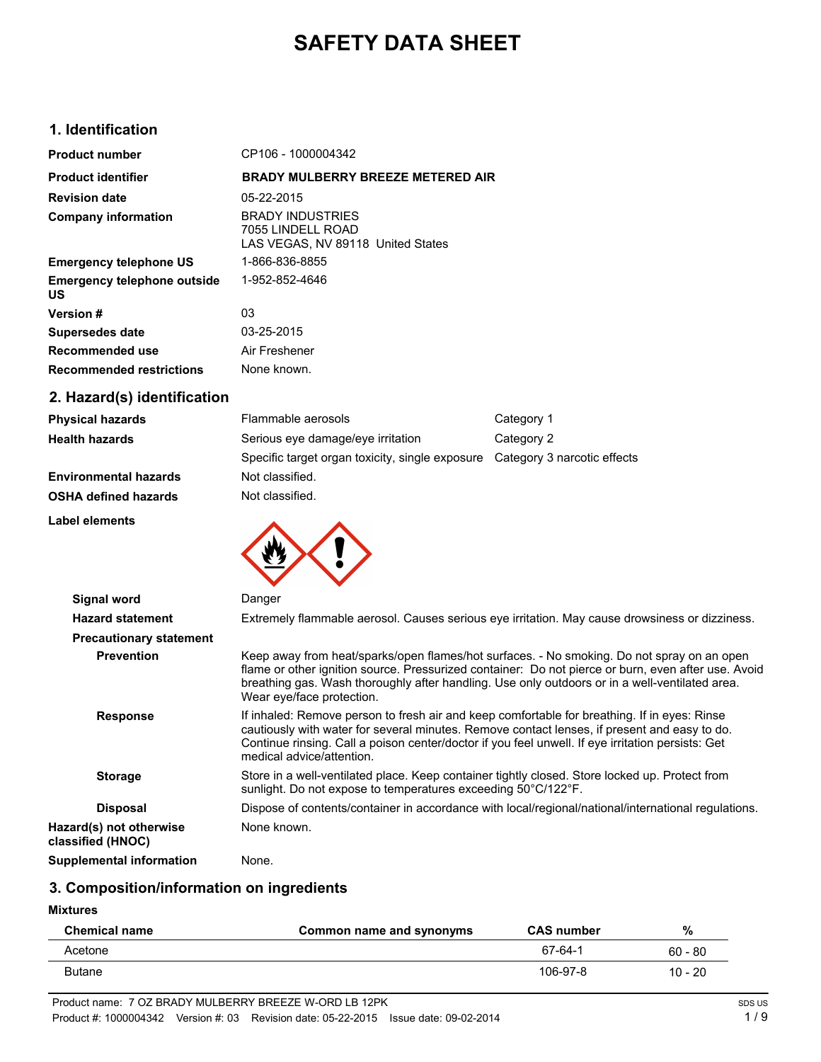# **SAFETY DATA SHEET**

## **1. Identification**

| <b>Product number</b>                           | CP106 - 1000004342                                                                |
|-------------------------------------------------|-----------------------------------------------------------------------------------|
| <b>Product identifier</b>                       | <b>BRADY MULBERRY BREEZE METERED AIR</b>                                          |
| <b>Revision date</b>                            | 05-22-2015                                                                        |
| <b>Company information</b>                      | <b>BRADY INDUSTRIES</b><br>7055 LINDELL ROAD<br>LAS VEGAS, NV 89118 United States |
| <b>Emergency telephone US</b>                   | 1-866-836-8855                                                                    |
| <b>Emergency telephone outside</b><br><b>US</b> | 1-952-852-4646                                                                    |
| <b>Version #</b>                                | 03                                                                                |
| <b>Supersedes date</b>                          | 03-25-2015                                                                        |
| Recommended use                                 | Air Freshener                                                                     |
| <b>Recommended restrictions</b>                 | None known.                                                                       |
| 2. Hazard(s) identification                     |                                                                                   |

| <b>Physical hazards</b>      | Flammable aerosols                                                          | Category 1 |
|------------------------------|-----------------------------------------------------------------------------|------------|
| <b>Health hazards</b>        | Serious eye damage/eye irritation                                           | Category 2 |
|                              | Specific target organ toxicity, single exposure Category 3 narcotic effects |            |
| <b>Environmental hazards</b> | Not classified.                                                             |            |
| <b>OSHA defined hazards</b>  | Not classified.                                                             |            |

**Label elements**



| <b>Signal word</b>                           | Danger                                                                                                                                                                                                                                                                                                                           |
|----------------------------------------------|----------------------------------------------------------------------------------------------------------------------------------------------------------------------------------------------------------------------------------------------------------------------------------------------------------------------------------|
| <b>Hazard statement</b>                      | Extremely flammable aerosol. Causes serious eye irritation. May cause drowsiness or dizziness.                                                                                                                                                                                                                                   |
| <b>Precautionary statement</b>               |                                                                                                                                                                                                                                                                                                                                  |
| <b>Prevention</b>                            | Keep away from heat/sparks/open flames/hot surfaces. - No smoking. Do not spray on an open<br>flame or other ignition source. Pressurized container: Do not pierce or burn, even after use. Avoid<br>breathing gas. Wash thoroughly after handling. Use only outdoors or in a well-ventilated area.<br>Wear eye/face protection. |
| <b>Response</b>                              | If inhaled: Remove person to fresh air and keep comfortable for breathing. If in eyes: Rinse<br>cautiously with water for several minutes. Remove contact lenses, if present and easy to do.<br>Continue rinsing. Call a poison center/doctor if you feel unwell. If eye irritation persists: Get<br>medical advice/attention.   |
| <b>Storage</b>                               | Store in a well-ventilated place. Keep container tightly closed. Store locked up. Protect from<br>sunlight. Do not expose to temperatures exceeding 50°C/122°F.                                                                                                                                                                  |
| <b>Disposal</b>                              | Dispose of contents/container in accordance with local/regional/national/international regulations.                                                                                                                                                                                                                              |
| Hazard(s) not otherwise<br>classified (HNOC) | None known.                                                                                                                                                                                                                                                                                                                      |
| Supplemental information                     | None.                                                                                                                                                                                                                                                                                                                            |

# **3. Composition/information on ingredients**

**Mixtures**

| <b>Chemical name</b> | Common name and synonyms | <b>CAS number</b> | %         |
|----------------------|--------------------------|-------------------|-----------|
| Acetone              |                          | 67-64-1           | $60 - 80$ |
| Butane               |                          | 106-97-8          | $10 - 20$ |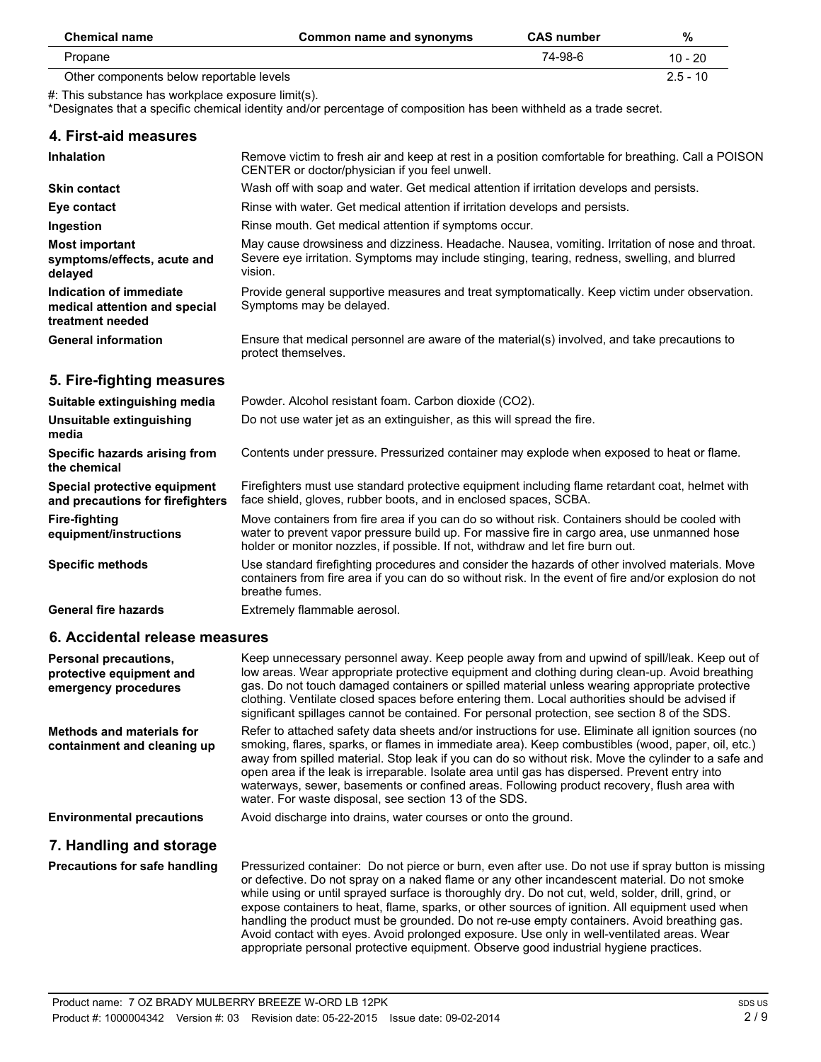| <b>Chemical name</b>                     | Common name and synonyms | <b>CAS number</b> | %         |
|------------------------------------------|--------------------------|-------------------|-----------|
| Propane                                  |                          | 74-98-6           | 10 - 20   |
| Other components below reportable levels |                          |                   | $25 - 10$ |

#: This substance has workplace exposure limit(s).

\*Designates that a specific chemical identity and/or percentage of composition has been withheld as a trade secret.

| 4. First-aid measures                                                            |                                                                                                                                                                                                                                                                                                                                                                                                                                                                                                     |
|----------------------------------------------------------------------------------|-----------------------------------------------------------------------------------------------------------------------------------------------------------------------------------------------------------------------------------------------------------------------------------------------------------------------------------------------------------------------------------------------------------------------------------------------------------------------------------------------------|
| <b>Inhalation</b>                                                                | Remove victim to fresh air and keep at rest in a position comfortable for breathing. Call a POISON<br>CENTER or doctor/physician if you feel unwell.                                                                                                                                                                                                                                                                                                                                                |
| <b>Skin contact</b>                                                              | Wash off with soap and water. Get medical attention if irritation develops and persists.                                                                                                                                                                                                                                                                                                                                                                                                            |
| Eye contact                                                                      | Rinse with water. Get medical attention if irritation develops and persists.                                                                                                                                                                                                                                                                                                                                                                                                                        |
| Ingestion                                                                        | Rinse mouth. Get medical attention if symptoms occur.                                                                                                                                                                                                                                                                                                                                                                                                                                               |
| <b>Most important</b><br>symptoms/effects, acute and<br>delayed                  | May cause drowsiness and dizziness. Headache. Nausea, vomiting. Irritation of nose and throat.<br>Severe eye irritation. Symptoms may include stinging, tearing, redness, swelling, and blurred<br>vision.                                                                                                                                                                                                                                                                                          |
| Indication of immediate<br>medical attention and special<br>treatment needed     | Provide general supportive measures and treat symptomatically. Keep victim under observation.<br>Symptoms may be delayed.                                                                                                                                                                                                                                                                                                                                                                           |
| <b>General information</b>                                                       | Ensure that medical personnel are aware of the material(s) involved, and take precautions to<br>protect themselves.                                                                                                                                                                                                                                                                                                                                                                                 |
| 5. Fire-fighting measures                                                        |                                                                                                                                                                                                                                                                                                                                                                                                                                                                                                     |
| Suitable extinguishing media                                                     | Powder. Alcohol resistant foam. Carbon dioxide (CO2).                                                                                                                                                                                                                                                                                                                                                                                                                                               |
| Unsuitable extinguishing<br>media                                                | Do not use water jet as an extinguisher, as this will spread the fire.                                                                                                                                                                                                                                                                                                                                                                                                                              |
| Specific hazards arising from<br>the chemical                                    | Contents under pressure. Pressurized container may explode when exposed to heat or flame.                                                                                                                                                                                                                                                                                                                                                                                                           |
| Special protective equipment<br>and precautions for firefighters                 | Firefighters must use standard protective equipment including flame retardant coat, helmet with<br>face shield, gloves, rubber boots, and in enclosed spaces, SCBA.                                                                                                                                                                                                                                                                                                                                 |
| <b>Fire-fighting</b><br>equipment/instructions                                   | Move containers from fire area if you can do so without risk. Containers should be cooled with<br>water to prevent vapor pressure build up. For massive fire in cargo area, use unmanned hose<br>holder or monitor nozzles, if possible. If not, withdraw and let fire burn out.                                                                                                                                                                                                                    |
| <b>Specific methods</b>                                                          | Use standard firefighting procedures and consider the hazards of other involved materials. Move<br>containers from fire area if you can do so without risk. In the event of fire and/or explosion do not<br>breathe fumes.                                                                                                                                                                                                                                                                          |
| <b>General fire hazards</b>                                                      | Extremely flammable aerosol.                                                                                                                                                                                                                                                                                                                                                                                                                                                                        |
| 6. Accidental release measures                                                   |                                                                                                                                                                                                                                                                                                                                                                                                                                                                                                     |
| <b>Personal precautions,</b><br>protective equipment and<br>emergency procedures | Keep unnecessary personnel away. Keep people away from and upwind of spill/leak. Keep out of<br>low areas. Wear appropriate protective equipment and clothing during clean-up. Avoid breathing<br>gas. Do not touch damaged containers or spilled material unless wearing appropriate protective<br>clothing. Ventilate closed spaces before entering them. Local authorities should be advised if<br>significant spillages cannot be contained. For personal protection, see section 8 of the SDS. |

**Methods and materials for containment and cleaning up** Refer to attached safety data sheets and/or instructions for use. Eliminate all ignition sources (no smoking, flares, sparks, or flames in immediate area). Keep combustibles (wood, paper, oil, etc.) away from spilled material. Stop leak if you can do so without risk. Move the cylinder to a safe and open area if the leak is irreparable. Isolate area until gas has dispersed. Prevent entry into waterways, sewer, basements or confined areas. Following product recovery, flush area with water. For waste disposal, see section 13 of the SDS.

**Environmental precautions** Avoid discharge into drains, water courses or onto the ground.

#### **7. Handling and storage**

**Precautions for safe handling** Pressurized container: Do not pierce or burn, even after use. Do not use if spray button is missing or defective. Do not spray on a naked flame or any other incandescent material. Do not smoke while using or until sprayed surface is thoroughly dry. Do not cut, weld, solder, drill, grind, or expose containers to heat, flame, sparks, or other sources of ignition. All equipment used when handling the product must be grounded. Do not re-use empty containers. Avoid breathing gas. Avoid contact with eyes. Avoid prolonged exposure. Use only in well-ventilated areas. Wear appropriate personal protective equipment. Observe good industrial hygiene practices.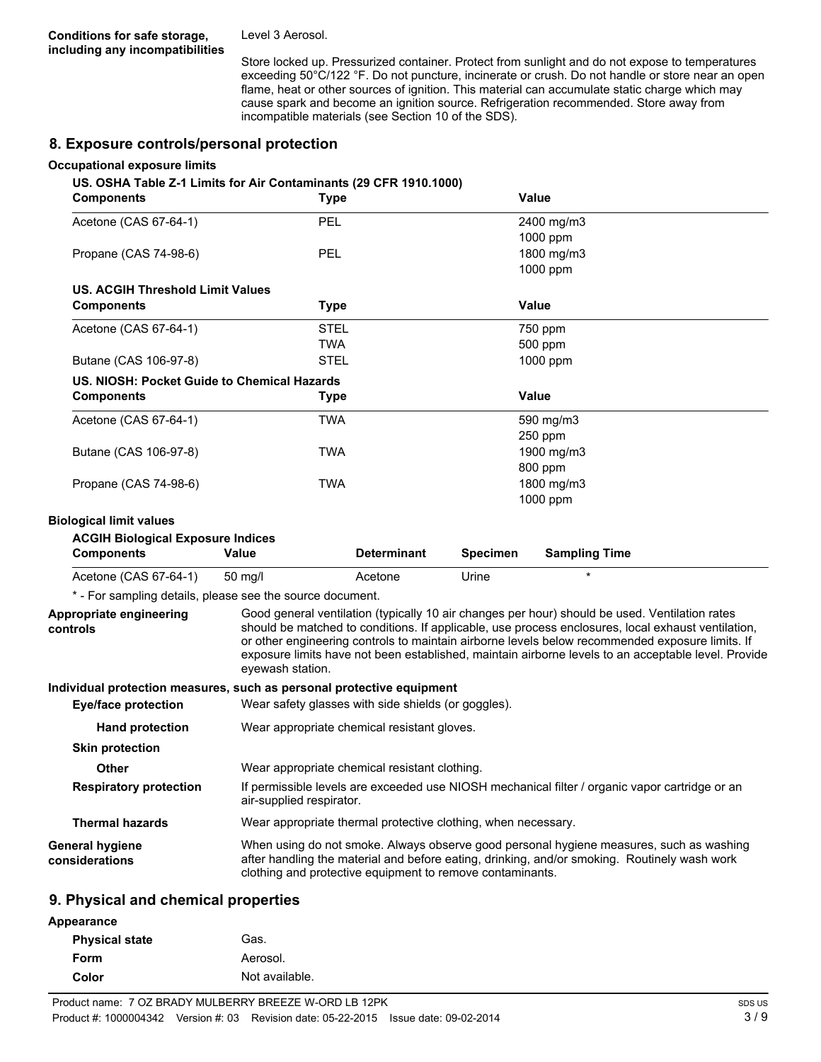Level 3 Aerosol.

Store locked up. Pressurized container. Protect from sunlight and do not expose to temperatures exceeding 50°C/122 °F. Do not puncture, incinerate or crush. Do not handle or store near an open flame, heat or other sources of ignition. This material can accumulate static charge which may cause spark and become an ignition source. Refrigeration recommended. Store away from incompatible materials (see Section 10 of the SDS).

#### **8. Exposure controls/personal protection**

#### **Occupational exposure limits**

#### **US. OSHA Table Z-1 Limits for Air Contaminants (29 CFR 1910.1000)**

| <b>Components</b>                                                     | <b>Type</b>                                         |                    |                 | Value                                                                                                                                                                                                                                                                                                   |                                                                                                     |
|-----------------------------------------------------------------------|-----------------------------------------------------|--------------------|-----------------|---------------------------------------------------------------------------------------------------------------------------------------------------------------------------------------------------------------------------------------------------------------------------------------------------------|-----------------------------------------------------------------------------------------------------|
| Acetone (CAS 67-64-1)                                                 | PEL                                                 |                    |                 | 2400 mg/m3                                                                                                                                                                                                                                                                                              |                                                                                                     |
|                                                                       |                                                     |                    |                 | 1000 ppm                                                                                                                                                                                                                                                                                                |                                                                                                     |
| Propane (CAS 74-98-6)                                                 | PEL                                                 |                    |                 | 1800 mg/m3                                                                                                                                                                                                                                                                                              |                                                                                                     |
|                                                                       |                                                     |                    |                 | 1000 ppm                                                                                                                                                                                                                                                                                                |                                                                                                     |
| US. ACGIH Threshold Limit Values                                      |                                                     |                    |                 |                                                                                                                                                                                                                                                                                                         |                                                                                                     |
| <b>Components</b>                                                     | <b>Type</b>                                         |                    |                 | <b>Value</b>                                                                                                                                                                                                                                                                                            |                                                                                                     |
| Acetone (CAS 67-64-1)                                                 | <b>STEL</b>                                         |                    |                 | 750 ppm                                                                                                                                                                                                                                                                                                 |                                                                                                     |
|                                                                       | <b>TWA</b>                                          |                    |                 | 500 ppm                                                                                                                                                                                                                                                                                                 |                                                                                                     |
| Butane (CAS 106-97-8)                                                 | <b>STEL</b>                                         |                    |                 | 1000 ppm                                                                                                                                                                                                                                                                                                |                                                                                                     |
| US. NIOSH: Pocket Guide to Chemical Hazards                           |                                                     |                    |                 |                                                                                                                                                                                                                                                                                                         |                                                                                                     |
| <b>Components</b>                                                     | <b>Type</b>                                         |                    |                 | Value                                                                                                                                                                                                                                                                                                   |                                                                                                     |
| Acetone (CAS 67-64-1)                                                 | <b>TWA</b>                                          |                    |                 | 590 mg/m3                                                                                                                                                                                                                                                                                               |                                                                                                     |
|                                                                       |                                                     |                    |                 | 250 ppm                                                                                                                                                                                                                                                                                                 |                                                                                                     |
| Butane (CAS 106-97-8)                                                 | <b>TWA</b>                                          |                    |                 | 1900 mg/m3                                                                                                                                                                                                                                                                                              |                                                                                                     |
|                                                                       |                                                     |                    |                 | 800 ppm                                                                                                                                                                                                                                                                                                 |                                                                                                     |
| Propane (CAS 74-98-6)                                                 | <b>TWA</b>                                          |                    |                 | 1800 mg/m3                                                                                                                                                                                                                                                                                              |                                                                                                     |
|                                                                       |                                                     |                    |                 | 1000 ppm                                                                                                                                                                                                                                                                                                |                                                                                                     |
| <b>Biological limit values</b>                                        |                                                     |                    |                 |                                                                                                                                                                                                                                                                                                         |                                                                                                     |
| <b>ACGIH Biological Exposure Indices</b>                              |                                                     |                    |                 |                                                                                                                                                                                                                                                                                                         |                                                                                                     |
| <b>Components</b>                                                     | <b>Value</b>                                        | <b>Determinant</b> | <b>Specimen</b> | <b>Sampling Time</b>                                                                                                                                                                                                                                                                                    |                                                                                                     |
| Acetone (CAS 67-64-1)                                                 | 50 mg/l                                             | Acetone            | Urine           | $\star$                                                                                                                                                                                                                                                                                                 |                                                                                                     |
| * - For sampling details, please see the source document.             |                                                     |                    |                 |                                                                                                                                                                                                                                                                                                         |                                                                                                     |
| Appropriate engineering<br>controls                                   | eyewash station.                                    |                    |                 | Good general ventilation (typically 10 air changes per hour) should be used. Ventilation rates<br>should be matched to conditions. If applicable, use process enclosures, local exhaust ventilation,<br>or other engineering controls to maintain airborne levels below recommended exposure limits. If | exposure limits have not been established, maintain airborne levels to an acceptable level. Provide |
| Individual protection measures, such as personal protective equipment |                                                     |                    |                 |                                                                                                                                                                                                                                                                                                         |                                                                                                     |
| <b>Eye/face protection</b>                                            | Wear safety glasses with side shields (or goggles). |                    |                 |                                                                                                                                                                                                                                                                                                         |                                                                                                     |
| <b>Hand protection</b>                                                | Wear appropriate chemical resistant gloves.         |                    |                 |                                                                                                                                                                                                                                                                                                         |                                                                                                     |
| <b>Skin protection</b>                                                |                                                     |                    |                 |                                                                                                                                                                                                                                                                                                         |                                                                                                     |
| <b>Other</b>                                                          | Wear appropriate chemical resistant clothing.       |                    |                 |                                                                                                                                                                                                                                                                                                         |                                                                                                     |
| <b>Respiratory protection</b>                                         | air-supplied respirator.                            |                    |                 | If permissible levels are exceeded use NIOSH mechanical filter / organic vapor cartridge or an                                                                                                                                                                                                          |                                                                                                     |

| <b>Thermal hazards</b> | Wear appropriate thermal protective clothing, when necessary. |
|------------------------|---------------------------------------------------------------|
|                        |                                                               |

| General hygiene | When using do not smoke. Always observe good personal hygiene measures, such as washing      |
|-----------------|----------------------------------------------------------------------------------------------|
| considerations  | after handling the material and before eating, drinking, and/or smoking. Routinely wash work |
|                 | clothing and protective equipment to remove contaminants.                                    |

#### **9. Physical and chemical properties**

| Appearance            |                |
|-----------------------|----------------|
| <b>Physical state</b> | Gas.           |
| Form                  | Aerosol.       |
| Color                 | Not available. |
|                       |                |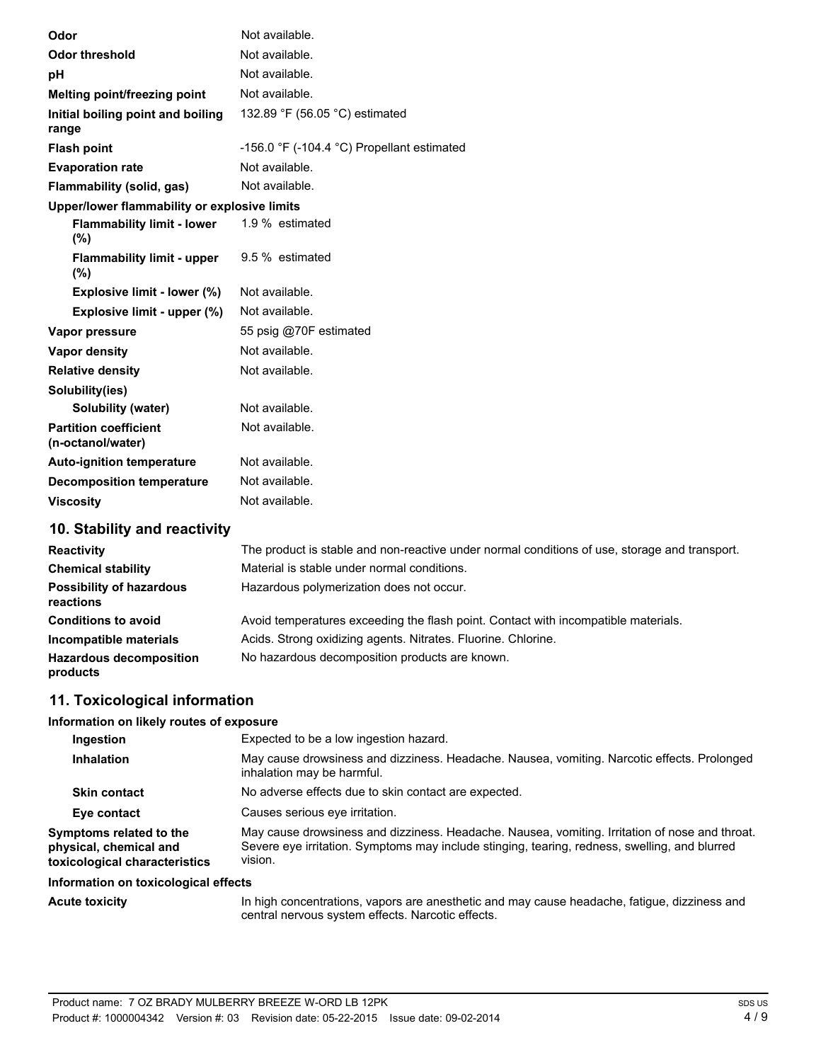| Odor                                              | Not available.                                               |
|---------------------------------------------------|--------------------------------------------------------------|
| <b>Odor threshold</b>                             | Not available.                                               |
| рH                                                | Not available.                                               |
| Melting point/freezing point                      | Not available.                                               |
| Initial boiling point and boiling<br>range        | 132.89 °F (56.05 °C) estimated                               |
| <b>Flash point</b>                                | -156.0 $\degree$ F (-104.4 $\degree$ C) Propellant estimated |
| <b>Evaporation rate</b>                           | Not available.                                               |
| Flammability (solid, gas)                         | Not available.                                               |
| Upper/lower flammability or explosive limits      |                                                              |
| <b>Flammability limit - lower</b><br>(%)          | 1.9 % estimated                                              |
| <b>Flammability limit - upper</b><br>(%)          | 9.5 % estimated                                              |
| Explosive limit - lower (%)                       | Not available.                                               |
| Explosive limit - upper (%)                       | Not available.                                               |
| Vapor pressure                                    | 55 psig @70F estimated                                       |
| <b>Vapor density</b>                              | Not available.                                               |
| <b>Relative density</b>                           | Not available.                                               |
| Solubility(ies)                                   |                                                              |
| <b>Solubility (water)</b>                         | Not available.                                               |
| <b>Partition coefficient</b><br>(n-octanol/water) | Not available.                                               |
| <b>Auto-ignition temperature</b>                  | Not available.                                               |
| <b>Decomposition temperature</b>                  | Not available.                                               |
| <b>Viscosity</b>                                  | Not available.                                               |
| 10 Stability and roactivity                       |                                                              |

### **10. Stability and reactivity**

| <b>Reactivity</b>                            | The product is stable and non-reactive under normal conditions of use, storage and transport. |
|----------------------------------------------|-----------------------------------------------------------------------------------------------|
| <b>Chemical stability</b>                    | Material is stable under normal conditions.                                                   |
| <b>Possibility of hazardous</b><br>reactions | Hazardous polymerization does not occur.                                                      |
| <b>Conditions to avoid</b>                   | Avoid temperatures exceeding the flash point. Contact with incompatible materials.            |
| Incompatible materials                       | Acids. Strong oxidizing agents. Nitrates. Fluorine. Chlorine.                                 |
| <b>Hazardous decomposition</b><br>products   | No hazardous decomposition products are known.                                                |

## **11. Toxicological information**

#### **Information on likely routes of exposure**

| Ingestion                                                                          | Expected to be a low ingestion hazard.                                                                                                                                                                     |  |
|------------------------------------------------------------------------------------|------------------------------------------------------------------------------------------------------------------------------------------------------------------------------------------------------------|--|
| <b>Inhalation</b>                                                                  | May cause drowsiness and dizziness. Headache. Nausea, vomiting. Narcotic effects. Prolonged<br>inhalation may be harmful.                                                                                  |  |
| <b>Skin contact</b>                                                                | No adverse effects due to skin contact are expected.                                                                                                                                                       |  |
| Eye contact                                                                        | Causes serious eye irritation.                                                                                                                                                                             |  |
| Symptoms related to the<br>physical, chemical and<br>toxicological characteristics | May cause drowsiness and dizziness. Headache. Nausea, vomiting. Irritation of nose and throat.<br>Severe eye irritation. Symptoms may include stinging, tearing, redness, swelling, and blurred<br>vision. |  |

#### **Information on toxicological effects**

| <b>Acute toxicity</b> |  |  |
|-----------------------|--|--|
|                       |  |  |

**Acute toxicity** In high concentrations, vapors are anesthetic and may cause headache, fatigue, dizziness and central nervous system effects. Narcotic effects.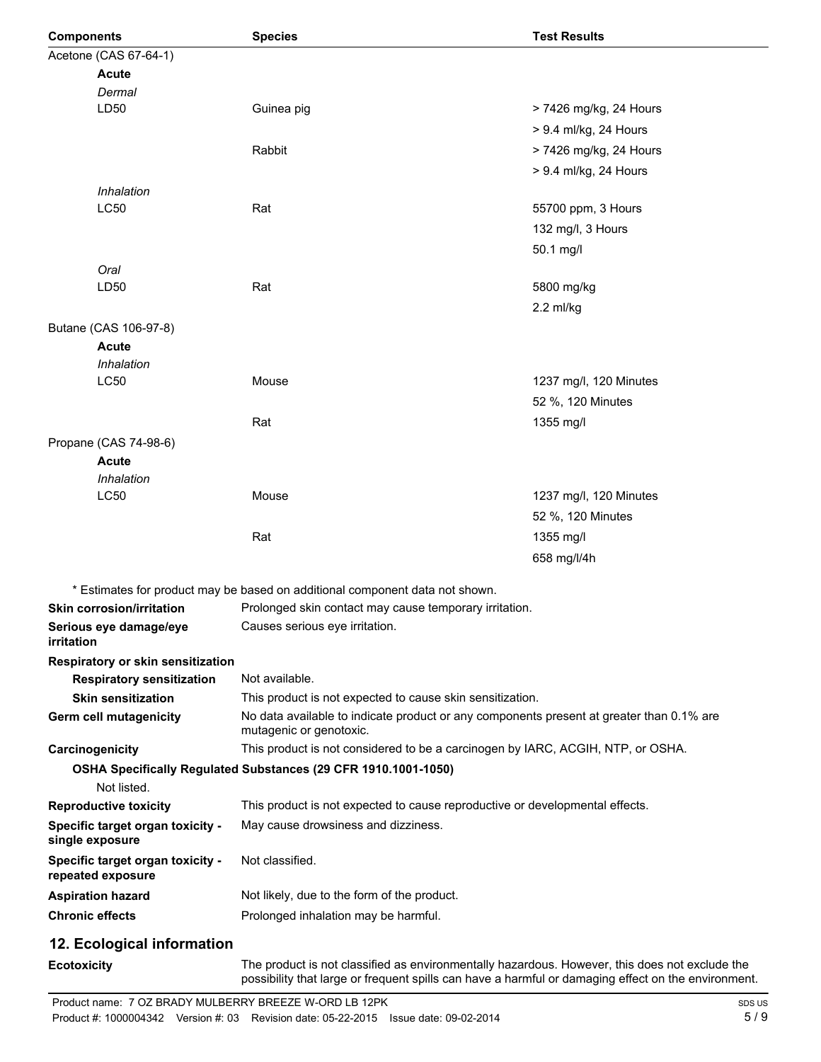| <b>Components</b>      |                                                       | <b>Species</b>                                                                                                      | <b>Test Results</b>    |
|------------------------|-------------------------------------------------------|---------------------------------------------------------------------------------------------------------------------|------------------------|
|                        | Acetone (CAS 67-64-1)                                 |                                                                                                                     |                        |
|                        | <b>Acute</b>                                          |                                                                                                                     |                        |
|                        | Dermal                                                |                                                                                                                     |                        |
|                        | LD <sub>50</sub>                                      | Guinea pig                                                                                                          | > 7426 mg/kg, 24 Hours |
|                        |                                                       |                                                                                                                     | > 9.4 ml/kg, 24 Hours  |
|                        |                                                       | Rabbit                                                                                                              | > 7426 mg/kg, 24 Hours |
|                        |                                                       |                                                                                                                     | > 9.4 ml/kg, 24 Hours  |
|                        | Inhalation                                            |                                                                                                                     |                        |
|                        | <b>LC50</b>                                           | Rat                                                                                                                 | 55700 ppm, 3 Hours     |
|                        |                                                       |                                                                                                                     | 132 mg/l, 3 Hours      |
|                        |                                                       |                                                                                                                     | 50.1 mg/l              |
|                        | Oral                                                  |                                                                                                                     |                        |
|                        | LD50                                                  | Rat                                                                                                                 | 5800 mg/kg             |
|                        |                                                       |                                                                                                                     | 2.2 ml/kg              |
|                        | Butane (CAS 106-97-8)                                 |                                                                                                                     |                        |
|                        | <b>Acute</b>                                          |                                                                                                                     |                        |
|                        | Inhalation                                            |                                                                                                                     |                        |
|                        | LC50                                                  | Mouse                                                                                                               | 1237 mg/l, 120 Minutes |
|                        |                                                       |                                                                                                                     | 52 %, 120 Minutes      |
|                        |                                                       | Rat                                                                                                                 | 1355 mg/l              |
|                        | Propane (CAS 74-98-6)                                 |                                                                                                                     |                        |
|                        | <b>Acute</b>                                          |                                                                                                                     |                        |
|                        | Inhalation                                            |                                                                                                                     |                        |
|                        | LC50                                                  | Mouse                                                                                                               | 1237 mg/l, 120 Minutes |
|                        |                                                       |                                                                                                                     | 52 %, 120 Minutes      |
|                        |                                                       | Rat                                                                                                                 | 1355 mg/l              |
|                        |                                                       |                                                                                                                     | 658 mg/l/4h            |
|                        |                                                       | * Estimates for product may be based on additional component data not shown.                                        |                        |
|                        | <b>Skin corrosion/irritation</b>                      | Prolonged skin contact may cause temporary irritation.                                                              |                        |
| irritation             | Serious eye damage/eye                                | Causes serious eye irritation.                                                                                      |                        |
|                        | Respiratory or skin sensitization                     |                                                                                                                     |                        |
|                        | <b>Respiratory sensitization</b>                      | Not available.                                                                                                      |                        |
|                        | <b>Skin sensitization</b>                             | This product is not expected to cause skin sensitization.                                                           |                        |
|                        | <b>Germ cell mutagenicity</b>                         | No data available to indicate product or any components present at greater than 0.1% are<br>mutagenic or genotoxic. |                        |
|                        | Carcinogenicity                                       | This product is not considered to be a carcinogen by IARC, ACGIH, NTP, or OSHA.                                     |                        |
|                        | Not listed.                                           | OSHA Specifically Regulated Substances (29 CFR 1910.1001-1050)                                                      |                        |
|                        | <b>Reproductive toxicity</b>                          | This product is not expected to cause reproductive or developmental effects.                                        |                        |
|                        | Specific target organ toxicity -<br>single exposure   | May cause drowsiness and dizziness.                                                                                 |                        |
|                        | Specific target organ toxicity -<br>repeated exposure | Not classified.                                                                                                     |                        |
|                        | <b>Aspiration hazard</b>                              | Not likely, due to the form of the product.                                                                         |                        |
| <b>Chronic effects</b> |                                                       | Prolonged inhalation may be harmful.                                                                                |                        |
|                        |                                                       |                                                                                                                     |                        |
|                        | 12. Ecological information                            |                                                                                                                     |                        |
| <b>Ecotovicity</b>     |                                                       | The product is not classified as environmentally hazardous. However, this does not evolude the                      |                        |

**Ecotoxicity** The product is not classified as environmentally hazardous. However, this does not exclude the inte possibility that large or frequent spills can have a harmful or damaging effect on the environment.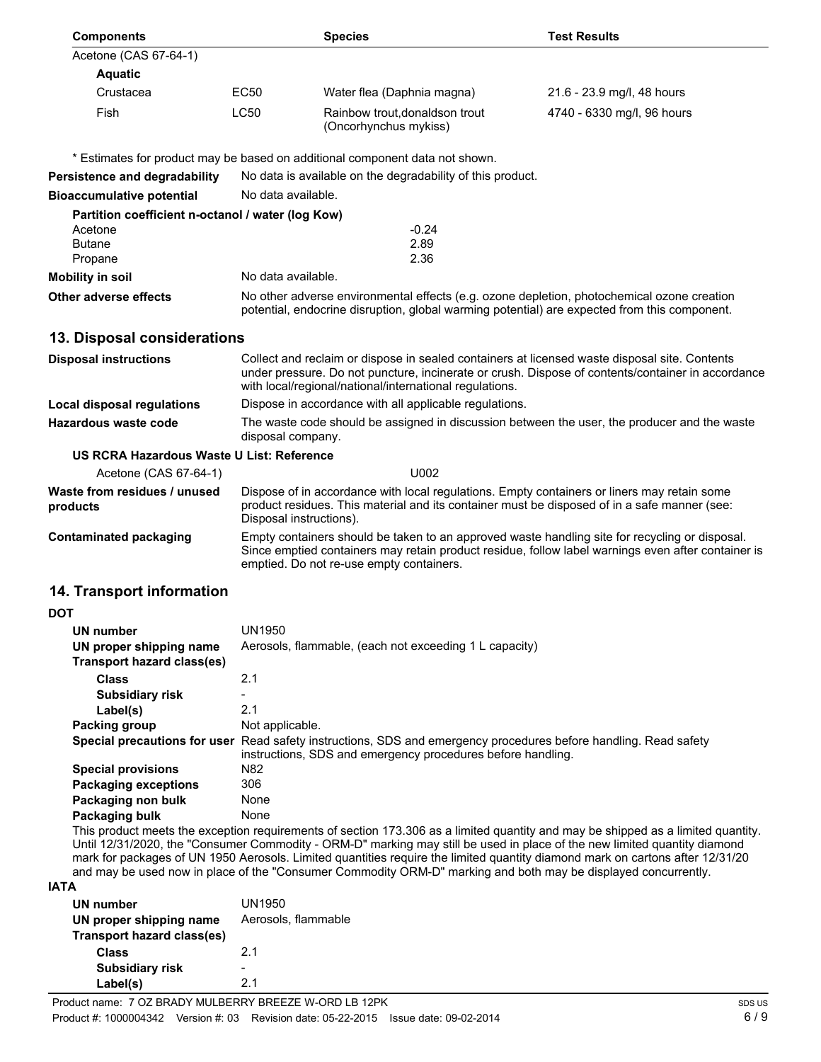| EC50<br><b>LC50</b>                                                                                                                                                                                                                                                                                                                                                                                                                                                                                                             | Water flea (Daphnia magna)<br>Rainbow trout, donaldson trout<br>(Oncorhynchus mykiss) | 21.6 - 23.9 mg/l, 48 hours<br>4740 - 6330 mg/l, 96 hours                                                                                                                                                                                                                                                                                                                                                                                                                                                                                                         |
|---------------------------------------------------------------------------------------------------------------------------------------------------------------------------------------------------------------------------------------------------------------------------------------------------------------------------------------------------------------------------------------------------------------------------------------------------------------------------------------------------------------------------------|---------------------------------------------------------------------------------------|------------------------------------------------------------------------------------------------------------------------------------------------------------------------------------------------------------------------------------------------------------------------------------------------------------------------------------------------------------------------------------------------------------------------------------------------------------------------------------------------------------------------------------------------------------------|
|                                                                                                                                                                                                                                                                                                                                                                                                                                                                                                                                 |                                                                                       |                                                                                                                                                                                                                                                                                                                                                                                                                                                                                                                                                                  |
|                                                                                                                                                                                                                                                                                                                                                                                                                                                                                                                                 |                                                                                       |                                                                                                                                                                                                                                                                                                                                                                                                                                                                                                                                                                  |
|                                                                                                                                                                                                                                                                                                                                                                                                                                                                                                                                 |                                                                                       |                                                                                                                                                                                                                                                                                                                                                                                                                                                                                                                                                                  |
|                                                                                                                                                                                                                                                                                                                                                                                                                                                                                                                                 |                                                                                       |                                                                                                                                                                                                                                                                                                                                                                                                                                                                                                                                                                  |
|                                                                                                                                                                                                                                                                                                                                                                                                                                                                                                                                 |                                                                                       |                                                                                                                                                                                                                                                                                                                                                                                                                                                                                                                                                                  |
|                                                                                                                                                                                                                                                                                                                                                                                                                                                                                                                                 |                                                                                       |                                                                                                                                                                                                                                                                                                                                                                                                                                                                                                                                                                  |
|                                                                                                                                                                                                                                                                                                                                                                                                                                                                                                                                 |                                                                                       |                                                                                                                                                                                                                                                                                                                                                                                                                                                                                                                                                                  |
|                                                                                                                                                                                                                                                                                                                                                                                                                                                                                                                                 | $-0.24$<br>2.89                                                                       |                                                                                                                                                                                                                                                                                                                                                                                                                                                                                                                                                                  |
|                                                                                                                                                                                                                                                                                                                                                                                                                                                                                                                                 |                                                                                       |                                                                                                                                                                                                                                                                                                                                                                                                                                                                                                                                                                  |
|                                                                                                                                                                                                                                                                                                                                                                                                                                                                                                                                 |                                                                                       |                                                                                                                                                                                                                                                                                                                                                                                                                                                                                                                                                                  |
| No other adverse environmental effects (e.g. ozone depletion, photochemical ozone creation<br>potential, endocrine disruption, global warming potential) are expected from this component.                                                                                                                                                                                                                                                                                                                                      |                                                                                       |                                                                                                                                                                                                                                                                                                                                                                                                                                                                                                                                                                  |
| 13. Disposal considerations                                                                                                                                                                                                                                                                                                                                                                                                                                                                                                     |                                                                                       |                                                                                                                                                                                                                                                                                                                                                                                                                                                                                                                                                                  |
| Collect and reclaim or dispose in sealed containers at licensed waste disposal site. Contents<br>under pressure. Do not puncture, incinerate or crush. Dispose of contents/container in accordance<br>with local/regional/national/international regulations.                                                                                                                                                                                                                                                                   |                                                                                       |                                                                                                                                                                                                                                                                                                                                                                                                                                                                                                                                                                  |
| Dispose in accordance with all applicable regulations.                                                                                                                                                                                                                                                                                                                                                                                                                                                                          |                                                                                       |                                                                                                                                                                                                                                                                                                                                                                                                                                                                                                                                                                  |
| <b>Local disposal regulations</b><br>The waste code should be assigned in discussion between the user, the producer and the waste<br>Hazardous waste code<br>disposal company.                                                                                                                                                                                                                                                                                                                                                  |                                                                                       |                                                                                                                                                                                                                                                                                                                                                                                                                                                                                                                                                                  |
|                                                                                                                                                                                                                                                                                                                                                                                                                                                                                                                                 | U002                                                                                  |                                                                                                                                                                                                                                                                                                                                                                                                                                                                                                                                                                  |
| Acetone (CAS 67-64-1)<br>Waste from residues / unused<br>Dispose of in accordance with local regulations. Empty containers or liners may retain some<br>product residues. This material and its container must be disposed of in a safe manner (see:<br>Disposal instructions).                                                                                                                                                                                                                                                 |                                                                                       |                                                                                                                                                                                                                                                                                                                                                                                                                                                                                                                                                                  |
| Empty containers should be taken to an approved waste handling site for recycling or disposal.<br>Since emptied containers may retain product residue, follow label warnings even after container is<br>emptied. Do not re-use empty containers.                                                                                                                                                                                                                                                                                |                                                                                       |                                                                                                                                                                                                                                                                                                                                                                                                                                                                                                                                                                  |
|                                                                                                                                                                                                                                                                                                                                                                                                                                                                                                                                 |                                                                                       |                                                                                                                                                                                                                                                                                                                                                                                                                                                                                                                                                                  |
|                                                                                                                                                                                                                                                                                                                                                                                                                                                                                                                                 |                                                                                       |                                                                                                                                                                                                                                                                                                                                                                                                                                                                                                                                                                  |
| UN1950                                                                                                                                                                                                                                                                                                                                                                                                                                                                                                                          |                                                                                       |                                                                                                                                                                                                                                                                                                                                                                                                                                                                                                                                                                  |
|                                                                                                                                                                                                                                                                                                                                                                                                                                                                                                                                 |                                                                                       |                                                                                                                                                                                                                                                                                                                                                                                                                                                                                                                                                                  |
| 2.1                                                                                                                                                                                                                                                                                                                                                                                                                                                                                                                             |                                                                                       |                                                                                                                                                                                                                                                                                                                                                                                                                                                                                                                                                                  |
|                                                                                                                                                                                                                                                                                                                                                                                                                                                                                                                                 |                                                                                       |                                                                                                                                                                                                                                                                                                                                                                                                                                                                                                                                                                  |
|                                                                                                                                                                                                                                                                                                                                                                                                                                                                                                                                 |                                                                                       |                                                                                                                                                                                                                                                                                                                                                                                                                                                                                                                                                                  |
|                                                                                                                                                                                                                                                                                                                                                                                                                                                                                                                                 |                                                                                       |                                                                                                                                                                                                                                                                                                                                                                                                                                                                                                                                                                  |
| N82                                                                                                                                                                                                                                                                                                                                                                                                                                                                                                                             |                                                                                       |                                                                                                                                                                                                                                                                                                                                                                                                                                                                                                                                                                  |
|                                                                                                                                                                                                                                                                                                                                                                                                                                                                                                                                 |                                                                                       |                                                                                                                                                                                                                                                                                                                                                                                                                                                                                                                                                                  |
|                                                                                                                                                                                                                                                                                                                                                                                                                                                                                                                                 |                                                                                       |                                                                                                                                                                                                                                                                                                                                                                                                                                                                                                                                                                  |
|                                                                                                                                                                                                                                                                                                                                                                                                                                                                                                                                 |                                                                                       |                                                                                                                                                                                                                                                                                                                                                                                                                                                                                                                                                                  |
| This product meets the exception requirements of section 173.306 as a limited quantity and may be shipped as a limited quantity.<br>Until 12/31/2020, the "Consumer Commodity - ORM-D" marking may still be used in place of the new limited quantity diamond<br>mark for packages of UN 1950 Aerosols. Limited quantities require the limited quantity diamond mark on cartons after 12/31/20<br>and may be used now in place of the "Consumer Commodity ORM-D" marking and both may be displayed concurrently.<br><b>IATA</b> |                                                                                       |                                                                                                                                                                                                                                                                                                                                                                                                                                                                                                                                                                  |
|                                                                                                                                                                                                                                                                                                                                                                                                                                                                                                                                 | 2.1<br>306<br>None<br>None                                                            | * Estimates for product may be based on additional component data not shown.<br>No data is available on the degradability of this product.<br>No data available.<br>Partition coefficient n-octanol / water (log Kow)<br>2.36<br>No data available.<br>US RCRA Hazardous Waste U List: Reference<br>Aerosols, flammable, (each not exceeding 1 L capacity)<br>Not applicable.<br>Special precautions for user Read safety instructions, SDS and emergency procedures before handling. Read safety<br>instructions, SDS and emergency procedures before handling. |

| UN number<br>UN proper shipping name | UN1950<br>Aerosols, flammable |
|--------------------------------------|-------------------------------|
| Transport hazard class(es)           |                               |
| <b>Class</b>                         | 2 <sub>1</sub>                |
| <b>Subsidiary risk</b>               |                               |
| Label(s)                             | 21                            |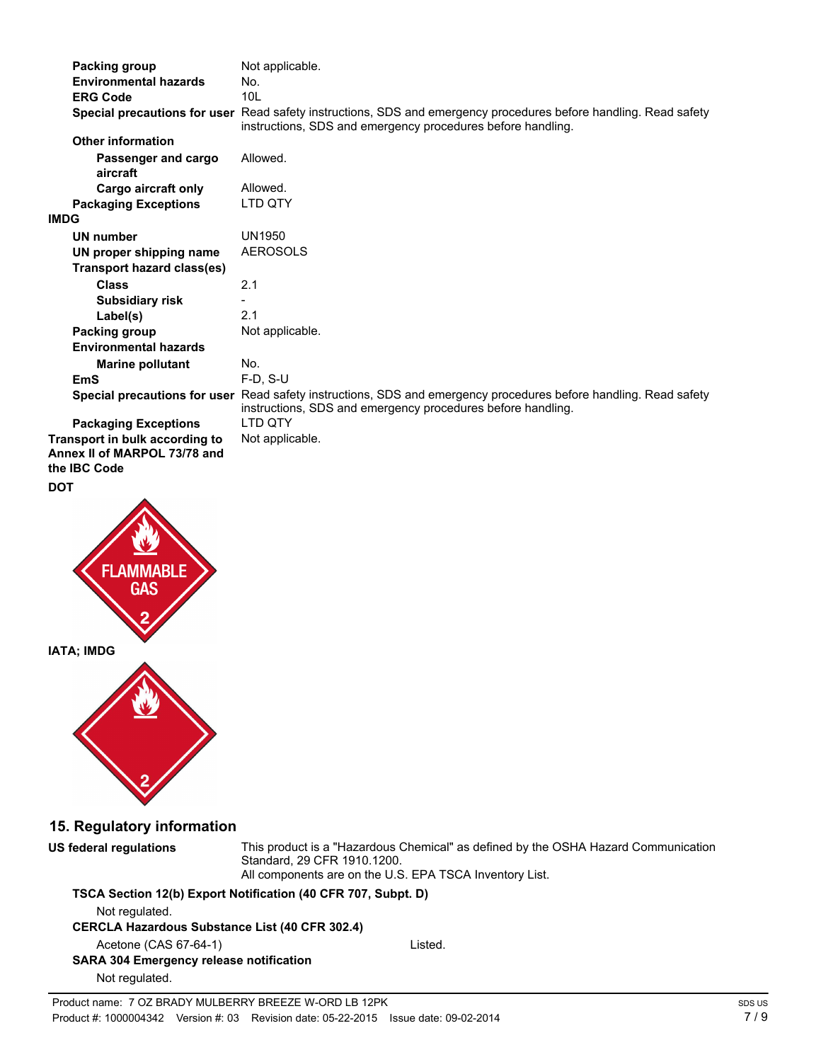|            | Packing group                                                                  | Not applicable.                                                                                                                                                                 |
|------------|--------------------------------------------------------------------------------|---------------------------------------------------------------------------------------------------------------------------------------------------------------------------------|
|            | <b>Environmental hazards</b><br><b>ERG Code</b>                                | No.<br>10L                                                                                                                                                                      |
|            |                                                                                | Special precautions for user Read safety instructions, SDS and emergency procedures before handling. Read safety<br>instructions, SDS and emergency procedures before handling. |
|            | <b>Other information</b>                                                       |                                                                                                                                                                                 |
|            | Passenger and cargo<br>aircraft                                                | Allowed.                                                                                                                                                                        |
|            | Cargo aircraft only                                                            | Allowed.                                                                                                                                                                        |
|            | <b>Packaging Exceptions</b>                                                    | LTD QTY                                                                                                                                                                         |
| IMDG       |                                                                                |                                                                                                                                                                                 |
|            | <b>UN number</b><br>UN proper shipping name                                    | <b>UN1950</b><br><b>AEROSOLS</b>                                                                                                                                                |
|            | <b>Transport hazard class(es)</b>                                              |                                                                                                                                                                                 |
|            | <b>Class</b>                                                                   | 2.1                                                                                                                                                                             |
|            | <b>Subsidiary risk</b>                                                         | 2.1                                                                                                                                                                             |
|            | Label(s)<br>Packing group                                                      | Not applicable.                                                                                                                                                                 |
|            | <b>Environmental hazards</b>                                                   |                                                                                                                                                                                 |
|            | <b>Marine pollutant</b>                                                        | No.                                                                                                                                                                             |
|            | <b>EmS</b>                                                                     | F-D, S-U                                                                                                                                                                        |
|            |                                                                                | Special precautions for user Read safety instructions, SDS and emergency procedures before handling. Read safety<br>instructions, SDS and emergency procedures before handling. |
|            | <b>Packaging Exceptions</b>                                                    | LTD QTY                                                                                                                                                                         |
|            | Transport in bulk according to<br>Annex II of MARPOL 73/78 and<br>the IBC Code | Not applicable.                                                                                                                                                                 |
| <b>DOT</b> |                                                                                |                                                                                                                                                                                 |
|            | <b>FLAMMABLE</b><br><b>GAS</b>                                                 |                                                                                                                                                                                 |
|            | IATA; IMDG                                                                     |                                                                                                                                                                                 |
|            |                                                                                |                                                                                                                                                                                 |
|            | 15. Regulatory information                                                     |                                                                                                                                                                                 |
|            | <b>US federal regulations</b>                                                  | This product is a "Hazardous Chemical" as defined by the OSHA Hazard Communication<br>Standard, 29 CFR 1910.1200.<br>All components are on the U.S. EPA TSCA Inventory List.    |
|            |                                                                                | TSCA Section 12(b) Export Notification (40 CFR 707, Subpt. D)                                                                                                                   |
|            | Not regulated.<br><b>CERCLA Hazardous Substance List (40 CFR 302.4)</b>        |                                                                                                                                                                                 |
|            | Acetone (CAS 67-64-1)                                                          | Listed.                                                                                                                                                                         |
|            | <b>SARA 304 Emergency release notification</b><br>Not regulated.               |                                                                                                                                                                                 |
|            | Product name: 7 OZ BRADY MULBERRY BREEZE W-ORD LB 12PK                         |                                                                                                                                                                                 |
|            |                                                                                |                                                                                                                                                                                 |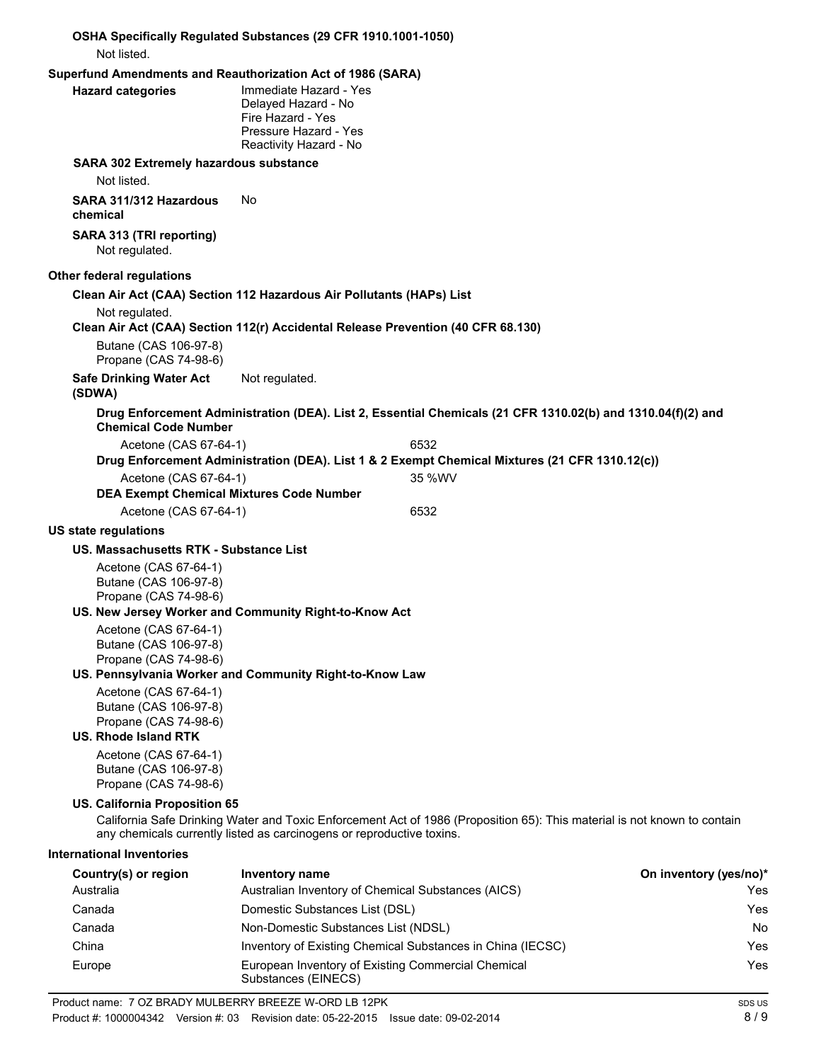| Not listed.                                                             | OSHA Specifically Regulated Substances (29 CFR 1910.1001-1050)                                                        |                                                                                                                          |                        |
|-------------------------------------------------------------------------|-----------------------------------------------------------------------------------------------------------------------|--------------------------------------------------------------------------------------------------------------------------|------------------------|
| Superfund Amendments and Reauthorization Act of 1986 (SARA)             |                                                                                                                       |                                                                                                                          |                        |
| <b>Hazard categories</b>                                                | Immediate Hazard - Yes<br>Delayed Hazard - No<br>Fire Hazard - Yes<br>Pressure Hazard - Yes<br>Reactivity Hazard - No |                                                                                                                          |                        |
| SARA 302 Extremely hazardous substance                                  |                                                                                                                       |                                                                                                                          |                        |
| Not listed.                                                             |                                                                                                                       |                                                                                                                          |                        |
| SARA 311/312 Hazardous<br>chemical                                      | No                                                                                                                    |                                                                                                                          |                        |
| SARA 313 (TRI reporting)<br>Not regulated.                              |                                                                                                                       |                                                                                                                          |                        |
| Other federal regulations                                               |                                                                                                                       |                                                                                                                          |                        |
|                                                                         | Clean Air Act (CAA) Section 112 Hazardous Air Pollutants (HAPs) List                                                  |                                                                                                                          |                        |
| Not regulated.                                                          |                                                                                                                       | Clean Air Act (CAA) Section 112(r) Accidental Release Prevention (40 CFR 68.130)                                         |                        |
| Butane (CAS 106-97-8)<br>Propane (CAS 74-98-6)                          |                                                                                                                       |                                                                                                                          |                        |
| <b>Safe Drinking Water Act</b><br>(SDWA)                                | Not regulated.                                                                                                        |                                                                                                                          |                        |
| <b>Chemical Code Number</b>                                             |                                                                                                                       | Drug Enforcement Administration (DEA). List 2, Essential Chemicals (21 CFR 1310.02(b) and 1310.04(f)(2) and              |                        |
| Acetone (CAS 67-64-1)                                                   |                                                                                                                       | 6532                                                                                                                     |                        |
|                                                                         |                                                                                                                       | Drug Enforcement Administration (DEA). List 1 & 2 Exempt Chemical Mixtures (21 CFR 1310.12(c))                           |                        |
| Acetone (CAS 67-64-1)                                                   |                                                                                                                       | 35 %WV                                                                                                                   |                        |
|                                                                         | <b>DEA Exempt Chemical Mixtures Code Number</b>                                                                       |                                                                                                                          |                        |
| Acetone (CAS 67-64-1)                                                   |                                                                                                                       | 6532                                                                                                                     |                        |
| <b>US state regulations</b>                                             |                                                                                                                       |                                                                                                                          |                        |
| US. Massachusetts RTK - Substance List                                  |                                                                                                                       |                                                                                                                          |                        |
| Acetone (CAS 67-64-1)<br>Butane (CAS 106-97-8)<br>Propane (CAS 74-98-6) |                                                                                                                       |                                                                                                                          |                        |
| Acetone (CAS 67-64-1)                                                   | US. New Jersey Worker and Community Right-to-Know Act                                                                 |                                                                                                                          |                        |
| Butane (CAS 106-97-8)<br>Propane (CAS 74-98-6)                          |                                                                                                                       |                                                                                                                          |                        |
|                                                                         | US. Pennsylvania Worker and Community Right-to-Know Law                                                               |                                                                                                                          |                        |
| Acetone (CAS 67-64-1)<br>Butane (CAS 106-97-8)<br>Propane (CAS 74-98-6) |                                                                                                                       |                                                                                                                          |                        |
| <b>US. Rhode Island RTK</b>                                             |                                                                                                                       |                                                                                                                          |                        |
| Acetone (CAS 67-64-1)<br>Butane (CAS 106-97-8)<br>Propane (CAS 74-98-6) |                                                                                                                       |                                                                                                                          |                        |
| <b>US. California Proposition 65</b>                                    | any chemicals currently listed as carcinogens or reproductive toxins.                                                 | California Safe Drinking Water and Toxic Enforcement Act of 1986 (Proposition 65): This material is not known to contain |                        |
| <b>International Inventories</b>                                        |                                                                                                                       |                                                                                                                          |                        |
| Country(s) or region                                                    | <b>Inventory name</b>                                                                                                 |                                                                                                                          | On inventory (yes/no)* |
| Australia                                                               |                                                                                                                       | Australian Inventory of Chemical Substances (AICS)                                                                       | Yes                    |
| Canada                                                                  | Domestic Substances List (DSL)                                                                                        |                                                                                                                          | Yes                    |
| Canada                                                                  | Non-Domestic Substances List (NDSL)                                                                                   |                                                                                                                          | No                     |

China Inventory of Existing Chemical Substances in China (IECSC) Yes Europe **European Inventory of Existing Commercial Chemical European System** Yes

Substances (EINECS)